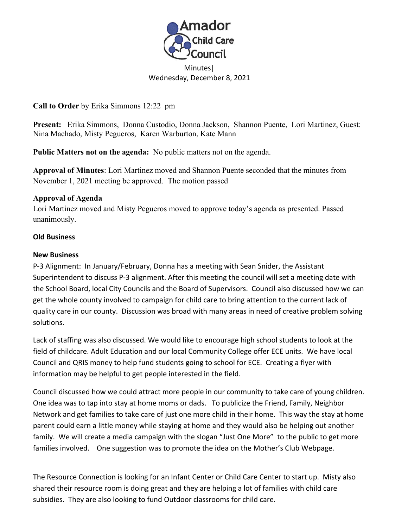

## Minutes| Wednesday, December 8, 2021

**Call to Order** by Erika Simmons 12:22 pm

**Present:** Erika Simmons, Donna Custodio, Donna Jackson, Shannon Puente, Lori Martinez, Guest: Nina Machado, Misty Pegueros, Karen Warburton, Kate Mann

**Public Matters not on the agenda:** No public matters not on the agenda. **Approval of Minutes**: Lori Martinez moved and Shannon Puente seconded that the minutes from November 1, 2021 meeting be approved. The motion passed

## **Approval of Agenda**

Lori Martinez moved and Misty Pegueros moved to approve today's agenda as presented. Passed unanimously.

## **Old Business**

## **New Business**

P-3 Alignment: In January/February, Donna has a meeting with Sean Snider, the Assistant Superintendent to discuss P-3 alignment. After this meeting the council will set a meeting date with the School Board, local City Councils and the Board of Supervisors. Council also discussed how we can get the whole county involved to campaign for child care to bring attention to the current lack of quality care in our county. Discussion was broad with many areas in need of creative problem solving solutions.

Lack of staffing was also discussed. We would like to encourage high school students to look at the field of childcare. Adult Education and our local Community College offer ECE units. We have local Council and QRIS money to help fund students going to school for ECE. Creating a flyer with information may be helpful to get people interested in the field.

Council discussed how we could attract more people in our community to take care of young children. One idea was to tap into stay at home moms or dads. To publicize the Friend, Family, Neighbor Network and get families to take care of just one more child in their home. This way the stay at home parent could earn a little money while staying at home and they would also be helping out another family. We will create a media campaign with the slogan "Just One More" to the public to get more families involved. One suggestion was to promote the idea on the Mother's Club Webpage.

The Resource Connection is looking for an Infant Center or Child Care Center to start up. Misty also shared their resource room is doing great and they are helping a lot of families with child care subsidies. They are also looking to fund Outdoor classrooms for child care.